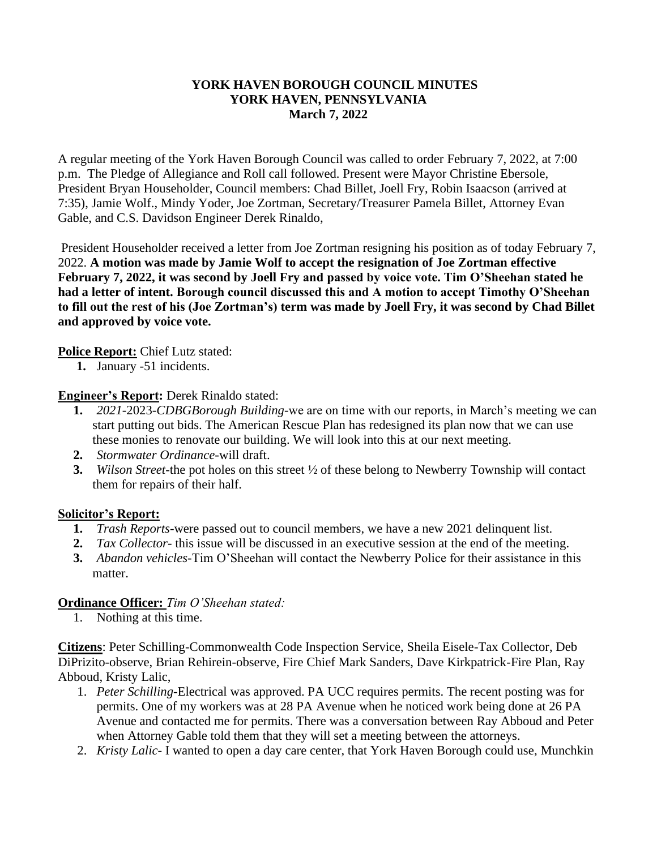### **YORK HAVEN BOROUGH COUNCIL MINUTES YORK HAVEN, PENNSYLVANIA March 7, 2022**

A regular meeting of the York Haven Borough Council was called to order February 7, 2022, at 7:00 p.m. The Pledge of Allegiance and Roll call followed. Present were Mayor Christine Ebersole, President Bryan Householder, Council members: Chad Billet, Joell Fry, Robin Isaacson (arrived at 7:35), Jamie Wolf., Mindy Yoder, Joe Zortman, Secretary/Treasurer Pamela Billet, Attorney Evan Gable, and C.S. Davidson Engineer Derek Rinaldo,

President Householder received a letter from Joe Zortman resigning his position as of today February 7, 2022. **A motion was made by Jamie Wolf to accept the resignation of Joe Zortman effective February 7, 2022, it was second by Joell Fry and passed by voice vote. Tim O'Sheehan stated he had a letter of intent. Borough council discussed this and A motion to accept Timothy O'Sheehan to fill out the rest of his (Joe Zortman's) term was made by Joell Fry, it was second by Chad Billet and approved by voice vote.** 

### **Police Report:** Chief Lutz stated:

**1.** January -51 incidents.

### **Engineer's Report:** Derek Rinaldo stated:

- **1.** *2021-*2023-*CDBGBorough Building-*we are on time with our reports, in March's meeting we can start putting out bids. The American Rescue Plan has redesigned its plan now that we can use these monies to renovate our building. We will look into this at our next meeting.
- **2.** *Stormwater Ordinance-*will draft.
- **3.** *Wilson Street-*the pot holes on this street ½ of these belong to Newberry Township will contact them for repairs of their half.

#### **Solicitor's Report:**

- **1.** *Trash Reports-*were passed out to council members, we have a new 2021 delinquent list.
- **2.** *Tax Collector-* this issue will be discussed in an executive session at the end of the meeting.
- **3.** *Abandon vehicles-*Tim O'Sheehan will contact the Newberry Police for their assistance in this matter.

# **Ordinance Officer:** *Tim O'Sheehan stated:*

1. Nothing at this time.

**Citizens**: Peter Schilling-Commonwealth Code Inspection Service, Sheila Eisele-Tax Collector, Deb DiPrizito-observe, Brian Rehirein-observe, Fire Chief Mark Sanders, Dave Kirkpatrick-Fire Plan, Ray Abboud, Kristy Lalic,

- 1. *Peter Schilling-*Electrical was approved. PA UCC requires permits. The recent posting was for permits. One of my workers was at 28 PA Avenue when he noticed work being done at 26 PA Avenue and contacted me for permits. There was a conversation between Ray Abboud and Peter when Attorney Gable told them that they will set a meeting between the attorneys.
- 2. *Kristy Lalic-* I wanted to open a day care center, that York Haven Borough could use, Munchkin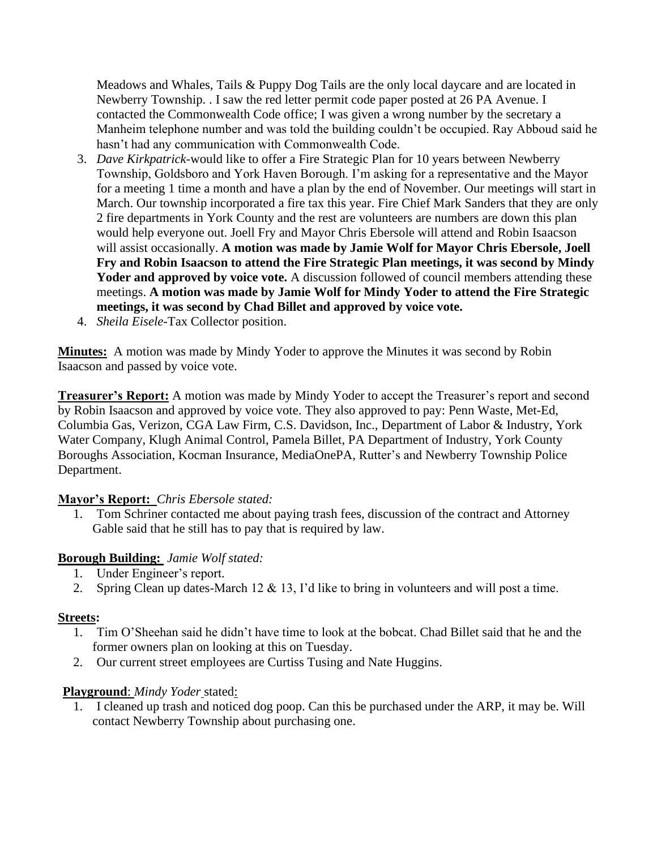Meadows and Whales, Tails & Puppy Dog Tails are the only local daycare and are located in Newberry Township. . I saw the red letter permit code paper posted at 26 PA Avenue. I contacted the Commonwealth Code office; I was given a wrong number by the secretary a Manheim telephone number and was told the building couldn't be occupied. Ray Abboud said he hasn't had any communication with Commonwealth Code.

- 3. *Dave Kirkpatrick-*would like to offer a Fire Strategic Plan for 10 years between Newberry Township, Goldsboro and York Haven Borough. I'm asking for a representative and the Mayor for a meeting 1 time a month and have a plan by the end of November. Our meetings will start in March. Our township incorporated a fire tax this year. Fire Chief Mark Sanders that they are only 2 fire departments in York County and the rest are volunteers are numbers are down this plan would help everyone out. Joell Fry and Mayor Chris Ebersole will attend and Robin Isaacson will assist occasionally. **A motion was made by Jamie Wolf for Mayor Chris Ebersole, Joell Fry and Robin Isaacson to attend the Fire Strategic Plan meetings, it was second by Mindy**  Yoder and approved by voice vote. A discussion followed of council members attending these meetings. **A motion was made by Jamie Wolf for Mindy Yoder to attend the Fire Strategic meetings, it was second by Chad Billet and approved by voice vote.**
- 4. *Sheila Eisele-*Tax Collector position.

**Minutes:** A motion was made by Mindy Yoder to approve the Minutes it was second by Robin Isaacson and passed by voice vote.

**Treasurer's Report:** A motion was made by Mindy Yoder to accept the Treasurer's report and second by Robin Isaacson and approved by voice vote. They also approved to pay: Penn Waste, Met-Ed, Columbia Gas, Verizon, CGA Law Firm, C.S. Davidson, Inc., Department of Labor & Industry, York Water Company, Klugh Animal Control, Pamela Billet, PA Department of Industry, York County Boroughs Association, Kocman Insurance, MediaOnePA, Rutter's and Newberry Township Police Department.

# **Mayor's Report:** *Chris Ebersole stated:*

1. Tom Schriner contacted me about paying trash fees, discussion of the contract and Attorney Gable said that he still has to pay that is required by law.

# **Borough Building:** *Jamie Wolf stated:*

- 1. Under Engineer's report.
- 2. Spring Clean up dates-March 12 & 13, I'd like to bring in volunteers and will post a time.

# **Streets:**

- 1. Tim O'Sheehan said he didn't have time to look at the bobcat. Chad Billet said that he and the former owners plan on looking at this on Tuesday.
- 2. Our current street employees are Curtiss Tusing and Nate Huggins.

# **Playground**: *Mindy Yoder* stated:

1. I cleaned up trash and noticed dog poop. Can this be purchased under the ARP, it may be. Will contact Newberry Township about purchasing one.